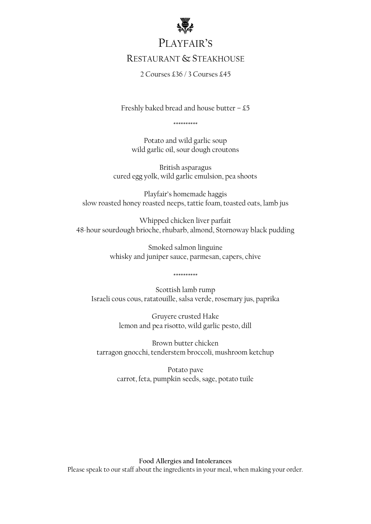

# PLAYFAIR'S

## RESTAURANT & STEAKHOUSE

2 Courses £36 / 3 Courses £45

Freshly baked bread and house butter  $-55$ 

\*\*\*\*\*\*\*\*\*\*

Potato and wild garlic soup wild garlic oil, sour dough croutons

British asparagus cured egg yolk, wild garlic emulsion, pea shoots

Playfair's homemade haggis slow roasted honey roasted neeps, tattie foam, toasted oats, lamb jus

Whipped chicken liver parfait 48-hour sourdough brioche, rhubarb, almond, Stornoway black pudding

> Smoked salmon linguine whisky and juniper sauce, parmesan, capers, chive

Scottish lamb rump Israeli cous cous, ratatouille, salsa verde, rosemary jus, paprika

\*\*\*\*\*\*\*\*\*\*

Gruyere crusted Hake lemon and pea risotto, wild garlic pesto, dill

Brown butter chicken tarragon gnocchi, tenderstem broccoli, mushroom ketchup

> Potato pave carrot, feta, pumpkin seeds, sage, potato tuile

**Food Allergies and Intolerances** Please speak to our staff about the ingredients in your meal, when making your order.